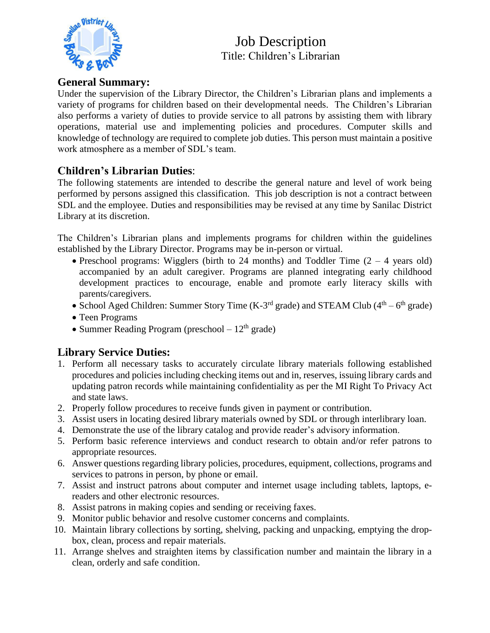

### **General Summary:**

Under the supervision of the Library Director, the Children's Librarian plans and implements a variety of programs for children based on their developmental needs. The Children's Librarian also performs a variety of duties to provide service to all patrons by assisting them with library operations, material use and implementing policies and procedures. Computer skills and knowledge of technology are required to complete job duties. This person must maintain a positive work atmosphere as a member of SDL's team.

## **Children's Librarian Duties**:

The following statements are intended to describe the general nature and level of work being performed by persons assigned this classification. This job description is not a contract between SDL and the employee. Duties and responsibilities may be revised at any time by Sanilac District Library at its discretion.

The Children's Librarian plans and implements programs for children within the guidelines established by the Library Director. Programs may be in-person or virtual.

- Preschool programs: Wigglers (birth to 24 months) and Toddler Time  $(2 4$  years old) accompanied by an adult caregiver. Programs are planned integrating early childhood development practices to encourage, enable and promote early literacy skills with parents/caregivers.
- School Aged Children: Summer Story Time (K-3<sup>rd</sup> grade) and STEAM Club ( $4<sup>th</sup> 6<sup>th</sup>$  grade)
- Teen Programs
- Summer Reading Program (preschool  $-12^{th}$  grade)

## **Library Service Duties:**

- 1. Perform all necessary tasks to accurately circulate library materials following established procedures and policies including checking items out and in, reserves, issuing library cards and updating patron records while maintaining confidentiality as per the MI Right To Privacy Act and state laws.
- 2. Properly follow procedures to receive funds given in payment or contribution.
- 3. Assist users in locating desired library materials owned by SDL or through interlibrary loan.
- 4. Demonstrate the use of the library catalog and provide reader's advisory information.
- 5. Perform basic reference interviews and conduct research to obtain and/or refer patrons to appropriate resources.
- 6. Answer questions regarding library policies, procedures, equipment, collections, programs and services to patrons in person, by phone or email.
- 7. Assist and instruct patrons about computer and internet usage including tablets, laptops, ereaders and other electronic resources.
- 8. Assist patrons in making copies and sending or receiving faxes.
- 9. Monitor public behavior and resolve customer concerns and complaints.
- 10. Maintain library collections by sorting, shelving, packing and unpacking, emptying the dropbox, clean, process and repair materials.
- 11. Arrange shelves and straighten items by classification number and maintain the library in a clean, orderly and safe condition.